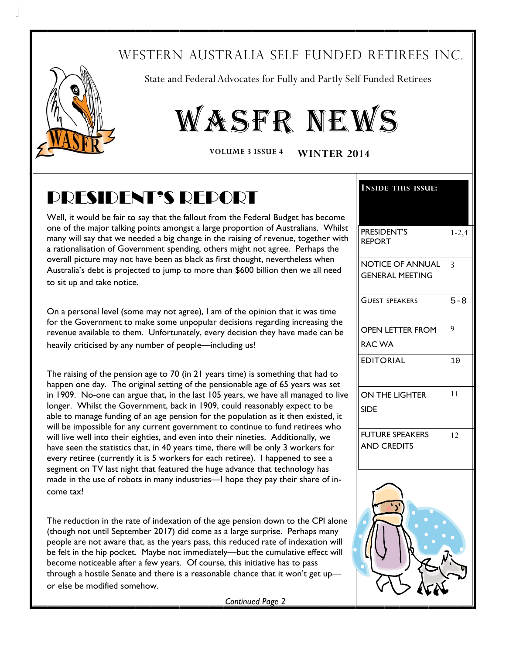### WESTERN AUSTRALIA SELF FUNDED RETIREES INC.



State and Federal Advocates for Fully and Partly Self Funded Retirees

# WASFR NEWS

**VOLUME 3 ISSUE 4 WINTER 2014**

## PRESIDENT'S REPORT

Well, it would be fair to say that the fallout from the Federal Budget has become one of the major talking points amongst a large proportion of Australians. Whilst many will say that we needed a big change in the raising of revenue, together with a rationalisation of Government spending, others might not agree. Perhaps the overall picture may not have been as black as first thought, nevertheless when Australia's debt is projected to jump to more than \$600 billion then we all need to sit up and take notice.

On a personal level (some may not agree), I am of the opinion that it was time for the Government to make some unpopular decisions regarding increasing the revenue available to them. Unfortunately, every decision they have made can be heavily criticised by any number of people—including us!

The raising of the pension age to 70 (in 21 years time) is something that had to happen one day. The original setting of the pensionable age of 65 years was set in 1909. No-one can argue that, in the last 105 years, we have all managed to live longer. Whilst the Government, back in 1909, could reasonably expect to be able to manage funding of an age pension for the population as it then existed, it will be impossible for any current government to continue to fund retirees who will live well into their eighties, and even into their nineties. Additionally, we have seen the statistics that, in 40 years time, there will be only 3 workers for every retiree (currently it is 5 workers for each retiree). I happened to see a segment on TV last night that featured the huge advance that technology has made in the use of robots in many industries—I hope they pay their share of income tax!

The reduction in the rate of indexation of the age pension down to the CPI alone (though not until September 2017) did come as a large surprise. Perhaps many people are not aware that, as the years pass, this reduced rate of indexation will be felt in the hip pocket. Maybe not immediately—but the cumulative effect will become noticeable after a few years. Of course, this initiative has to pass through a hostile Senate and there is a reasonable chance that it won't get upor else be modified somehow.

**INSIDE THIS ISSUE:** PRESIDENT'S REPORT 1-2,4 NOTICE OF ANNUAL GENERAL MEETING 3 GUEST SPEAKERS 5-8 EDITORIAL 10 FUTURE SPEAKERS AND CREDITS  $12$ OPEN LETTER FROM RAC WA 9 ON THE LIGHTER SIDE 11

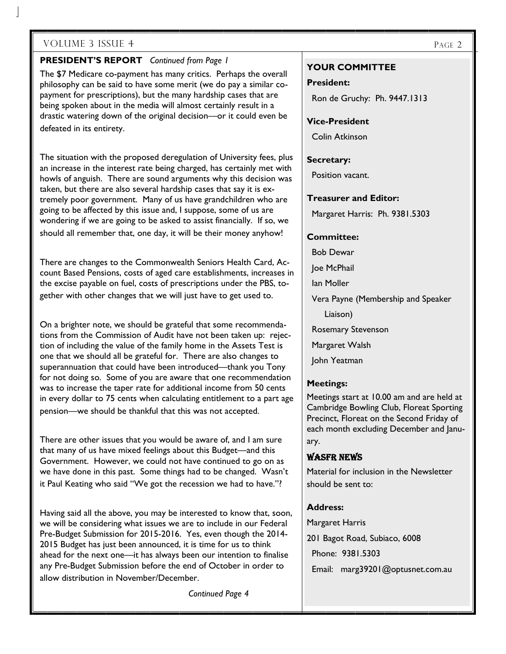#### **PRESIDENT'S REPORT** *Continued from Page 1*

The \$7 Medicare co-payment has many critics. Perhaps the overall philosophy can be said to have some merit (we do pay a similar copayment for prescriptions), but the many hardship cases that are being spoken about in the media will almost certainly result in a drastic watering down of the original decision—or it could even be defeated in its entirety.

The situation with the proposed deregulation of University fees, plus an increase in the interest rate being charged, has certainly met with howls of anguish. There are sound arguments why this decision was taken, but there are also several hardship cases that say it is extremely poor government. Many of us have grandchildren who are going to be affected by this issue and, I suppose, some of us are wondering if we are going to be asked to assist financially. If so, we should all remember that, one day, it will be their money anyhow!

There are changes to the Commonwealth Seniors Health Card, Account Based Pensions, costs of aged care establishments, increases in the excise payable on fuel, costs of prescriptions under the PBS, together with other changes that we will just have to get used to.

On a brighter note, we should be grateful that some recommendations from the Commission of Audit have not been taken up: rejection of including the value of the family home in the Assets Test is one that we should all be grateful for. There are also changes to superannuation that could have been introduced—thank you Tony for not doing so. Some of you are aware that one recommendation was to increase the taper rate for additional income from 50 cents in every dollar to 75 cents when calculating entitlement to a part age pension—we should be thankful that this was not accepted.

There are other issues that you would be aware of, and I am sure that many of us have mixed feelings about this Budget—and this Government. However, we could not have continued to go on as we have done in this past. Some things had to be changed. Wasn't it Paul Keating who said "We got the recession we had to have."?

Having said all the above, you may be interested to know that, soon, we will be considering what issues we are to include in our Federal Pre-Budget Submission for 2015-2016. Yes, even though the 2014- 2015 Budget has just been announced, it is time for us to think ahead for the next one—it has always been our intention to finalise any Pre-Budget Submission before the end of October in order to allow distribution in November/December.

*Continued Page 4* 

#### **YOUR COMMITTEE**

#### **President:**

Ron de Gruchy: Ph. 9447.1313

#### **Vice-President**

Colin Atkinson

#### **Secretary:**

Position vacant.

**Treasurer and Editor:** 

Margaret Harris: Ph. 9381.5303

#### **Committee:**

Bob Dewar

Joe McPhail

Ian Moller

Vera Payne (Membership and Speaker

Liaison)

Rosemary Stevenson

Margaret Walsh

John Yeatman

#### **Meetings:**

Meetings start at 10.00 am and are held at Cambridge Bowling Club, Floreat Sporting Precinct, Floreat on the Second Friday of each month excluding December and January.

#### WASFR NEWS

Material for inclusion in the Newsletter should be sent to:

#### **Address:**

Margaret Harris 201 Bagot Road, Subiaco, 6008 Phone: 9381.5303

Email: marg39201@optusnet.com.au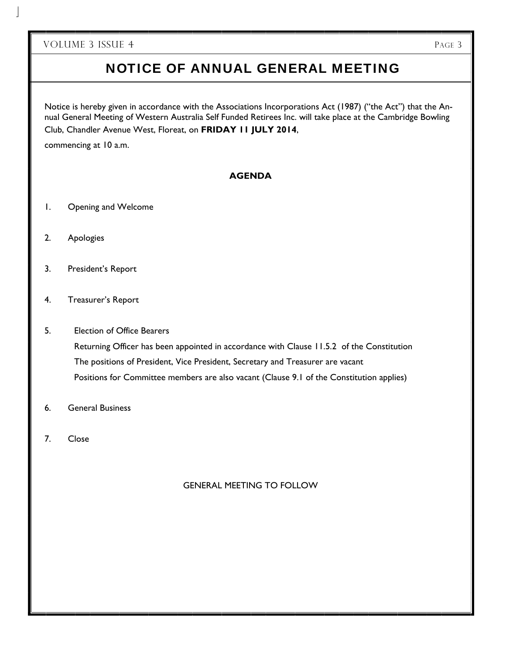#### NOTICE OF ANNUAL GENERAL MEETING

Notice is hereby given in accordance with the Associations Incorporations Act (1987) ("the Act") that the Annual General Meeting of Western Australia Self Funded Retirees Inc. will take place at the Cambridge Bowling Club, Chandler Avenue West, Floreat, on **FRIDAY 11 JULY 2014**,

commencing at 10 a.m.

#### **AGENDA**

- 1. Opening and Welcome
- 2. Apologies
- 3. President's Report
- 4. Treasurer's Report
- 5. Election of Office Bearers Returning Officer has been appointed in accordance with Clause 11.5.2 of the Constitution The positions of President, Vice President, Secretary and Treasurer are vacant Positions for Committee members are also vacant (Clause 9.1 of the Constitution applies)
- 6. General Business
- 7. Close

#### GENERAL MEETING TO FOLLOW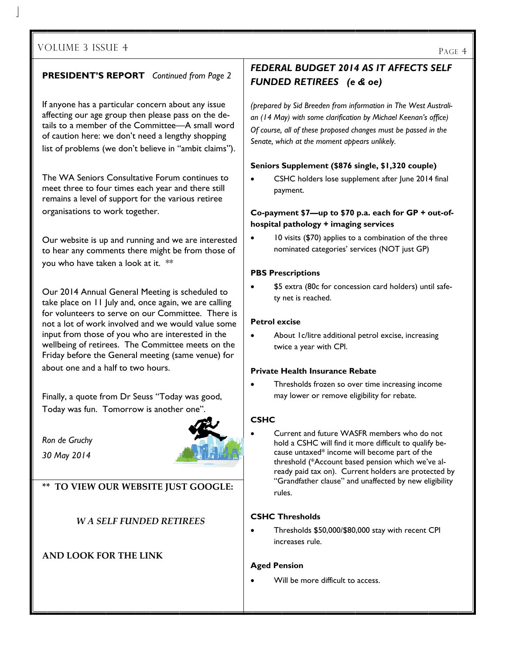#### **PRESIDENT'S REPORT** *Continued from Page 2*

If anyone has a particular concern about any issue affecting our age group then please pass on the details to a member of the Committee—A small word of caution here: we don't need a lengthy shopping list of problems (we don't believe in "ambit claims").

The WA Seniors Consultative Forum continues to meet three to four times each year and there still remains a level of support for the various retiree organisations to work together.

Our website is up and running and we are interested to hear any comments there might be from those of you who have taken a look at it. \*\*

Our 2014 Annual General Meeting is scheduled to take place on 11 July and, once again, we are calling for volunteers to serve on our Committee. There is not a lot of work involved and we would value some input from those of you who are interested in the wellbeing of retirees. The Committee meets on the Friday before the General meeting (same venue) for about one and a half to two hours.

Finally, a quote from Dr Seuss "Today was good, Today was fun. Tomorrow is another one".

*Ron de Gruchy 30 May 2014* 



**\*\* TO VIEW OUR WEBSITE JUST GOOGLE:**

*W A SELF FUNDED RETIREES* 

#### **AND LOOK FOR THE LINK**

#### *FEDERAL BUDGET 2014 AS IT AFFECTS SELF FUNDED RETIREES (e & oe)*

*(prepared by Sid Breeden from information in The West Australian (14 May) with some clarification by Michael Keenan's office) Of course, all of these proposed changes must be passed in the Senate, which at the moment appears unlikely.* 

#### **Seniors Supplement (\$876 single, \$1,320 couple)**

 CSHC holders lose supplement after June 2014 final payment.

#### **Co-payment \$7—up to \$70 p.a. each for GP + out-ofhospital pathology + imaging services**

 10 visits (\$70) applies to a combination of the three nominated categories' services (NOT just GP)

#### **PBS Prescriptions**

 \$5 extra (80c for concession card holders) until safety net is reached.

#### **Petrol excise**

 About 1c/litre additional petrol excise, increasing twice a year with CPI.

#### **Private Health Insurance Rebate**

 Thresholds frozen so over time increasing income may lower or remove eligibility for rebate.

#### **CSHC**

 Current and future WASFR members who do not hold a CSHC will find it more difficult to qualify because untaxed\* income will become part of the threshold (\*Account based pension which we've already paid tax on). Current holders are protected by "Grandfather clause" and unaffected by new eligibility rules.

#### **CSHC Thresholds**

 Thresholds \$50,000/\$80,000 stay with recent CPI increases rule.

#### **Aged Pension**

Will be more difficult to access.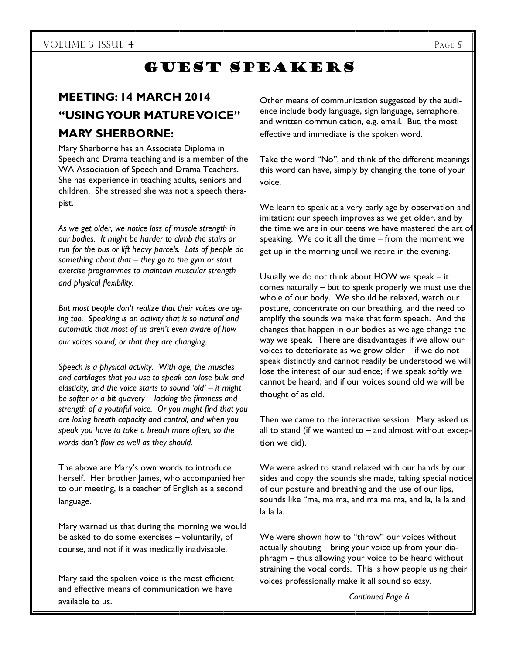### GUEST SPEAKERS

### **MEETING: 14 MARCH 2014 "USING YOUR MATURE VOICE" MARY SHERBORNE:**

Mary Sherborne has an Associate Diploma in Speech and Drama teaching and is a member of the WA Association of Speech and Drama Teachers. She has experience in teaching adults, seniors and children. She stressed she was not a speech therapist.

*As we get older, we notice loss of muscle strength in our bodies. It might be harder to climb the stairs or run for the bus or lift heavy parcels. Lots of people do something about that – they go to the gym or start exercise programmes to maintain muscular strength and physical flexibility.* 

*But most people don't realize that their voices are aging too. Speaking is an activity that is so natural and automatic that most of us aren't even aware of how our voices sound, or that they are changing.* 

*Speech is a physical activity. With age, the muscles and cartilages that you use to speak can lose bulk and elasticity, and the voice starts to sound 'old' – it might be softer or a bit quavery – lacking the firmness and strength of a youthful voice. Or you might find that you are losing breath capacity and control, and when you speak you have to take a breath more often, so the words don't flow as well as they should.* 

The above are Mary's own words to introduce herself. Her brother James, who accompanied her to our meeting, is a teacher of English as a second language.

Mary warned us that during the morning we would be asked to do some exercises – voluntarily, of course, and not if it was medically inadvisable.

Mary said the spoken voice is the most efficient and effective means of communication we have available to us.

Other means of communication suggested by the audience include body language, sign language, semaphore, and written communication, e.g. email. But, the most effective and immediate is the spoken word.

Take the word "No", and think of the different meanings this word can have, simply by changing the tone of your voice.

We learn to speak at a very early age by observation and imitation; our speech improves as we get older, and by the time we are in our teens we have mastered the art of speaking. We do it all the time – from the moment we get up in the morning until we retire in the evening.

Usually we do not think about HOW we speak – it comes naturally – but to speak properly we must use the whole of our body. We should be relaxed, watch our posture, concentrate on our breathing, and the need to amplify the sounds we make that form speech. And the changes that happen in our bodies as we age change the way we speak. There are disadvantages if we allow our voices to deteriorate as we grow older – if we do not speak distinctly and cannot readily be understood we will lose the interest of our audience; if we speak softly we cannot be heard; and if our voices sound old we will be thought of as old.

Then we came to the interactive session. Mary asked us all to stand (if we wanted to  $-$  and almost without exception we did).

We were asked to stand relaxed with our hands by our sides and copy the sounds she made, taking special notice of our posture and breathing and the use of our lips, sounds like "ma, ma ma, and ma ma ma, and la, la la and la la la.

We were shown how to "throw" our voices without actually shouting – bring your voice up from your diaphragm – thus allowing your voice to be heard without straining the vocal cords. This is how people using their voices professionally make it all sound so easy.

j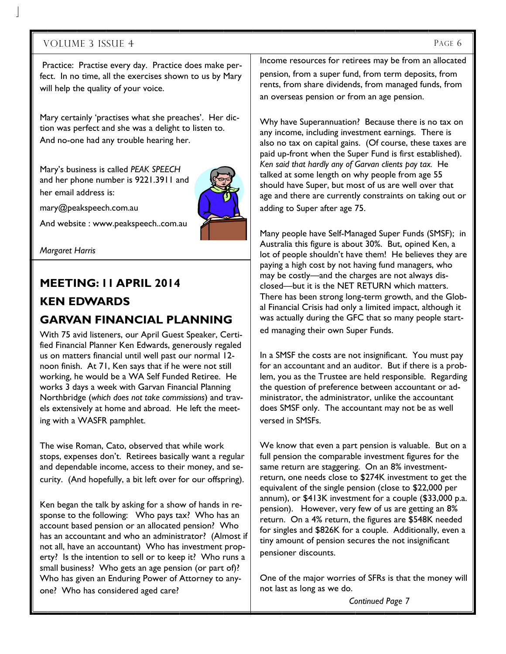Practice: Practise every day. Practice does make perfect. In no time, all the exercises shown to us by Mary will help the quality of your voice.

Mary certainly 'practises what she preaches'. Her diction was perfect and she was a delight to listen to. And no-one had any trouble hearing her.

Mary's business is called *PEAK SPEECH*  and her phone number is 9221.3911 and her email address is:



mary@peakspeech.com.au

And website : www.peakspeech..com.au

*Margaret Harris* 

#### **MEETING: 11 APRIL 2014 KEN EDWARDS GARVAN FINANCIAL PLANNING**

With 75 avid listeners, our April Guest Speaker, Certified Financial Planner Ken Edwards, generously regaled us on matters financial until well past our normal 12 noon finish. At 71, Ken says that if he were not still working, he would be a WA Self Funded Retiree. He works 3 days a week with Garvan Financial Planning Northbridge (*which does not take commissions*) and travels extensively at home and abroad. He left the meeting with a WASFR pamphlet.

The wise Roman, Cato, observed that while work stops, expenses don't. Retirees basically want a regular and dependable income, access to their money, and security. (And hopefully, a bit left over for our offspring).

Ken began the talk by asking for a show of hands in response to the following: Who pays tax? Who has an account based pension or an allocated pension? Who has an accountant and who an administrator? (Almost if not all, have an accountant) Who has investment property? Is the intention to sell or to keep it? Who runs a small business? Who gets an age pension (or part of)? Who has given an Enduring Power of Attorney to anyone? Who has considered aged care?

Income resources for retirees may be from an allocated pension, from a super fund, from term deposits, from rents, from share dividends, from managed funds, from

an overseas pension or from an age pension.

Why have Superannuation? Because there is no tax on any income, including investment earnings. There is also no tax on capital gains. (Of course, these taxes are paid up-front when the Super Fund is first established). *Ken said that hardly any of Garvan clients pay tax.* He talked at some length on why people from age 55 should have Super, but most of us are well over that age and there are currently constraints on taking out or adding to Super after age 75.

Many people have Self-Managed Super Funds (SMSF); in Australia this figure is about 30%. But, opined Ken, a lot of people shouldn't have them! He believes they are paying a high cost by not having fund managers, who may be costly—and the charges are not always disclosed—but it is the NET RETURN which matters. There has been strong long-term growth, and the Global Financial Crisis had only a limited impact, although it was actually during the GFC that so many people started managing their own Super Funds.

In a SMSF the costs are not insignificant. You must pay for an accountant and an auditor. But if there is a problem, you as the Trustee are held responsible. Regarding the question of preference between accountant or administrator, the administrator, unlike the accountant does SMSF only. The accountant may not be as well versed in SMSFs.

We know that even a part pension is valuable. But on a full pension the comparable investment figures for the same return are staggering. On an 8% investmentreturn, one needs close to \$274K investment to get the equivalent of the single pension (close to \$22,000 per annum), or \$413K investment for a couple (\$33,000 p.a. pension). However, very few of us are getting an 8% return. On a 4% return, the figures are \$548K needed for singles and \$826K for a couple. Additionally, even a tiny amount of pension secures the not insignificant pensioner discounts.

One of the major worries of SFRs is that the money will not last as long as we do.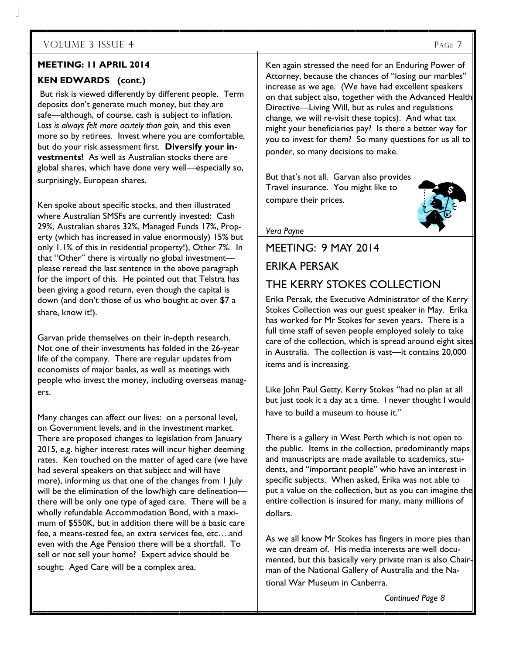#### **MEETING: 11 APRIL 2014**

#### **KEN EDWARDS (cont.)**

 But risk is viewed differently by different people. Term deposits don't generate much money, but they are safe—although, of course, cash is subject to inflation. *Loss is always felt more acutely than gain,* and this even more so by retirees. Invest where you are comfortable, but do your risk assessment first. **Diversify your investments!** As well as Australian stocks there are global shares, which have done very well—especially so, surprisingly, European shares.

Ken spoke about specific stocks, and then illustrated where Australian SMSFs are currently invested: Cash 29%, Australian shares 32%, Managed Funds 17%, Property (which has increased in value enormously) 15% but only 1.1% of this in residential property!), Other 7%. In that "Other" there is virtually no global investment please reread the last sentence in the above paragraph for the import of this. He pointed out that Telstra has been giving a good return, even though the capital is down (and don't those of us who bought at over \$7 a share, know it!).

Garvan pride themselves on their in-depth research. Not one of their investments has folded in the 26-year life of the company. There are regular updates from economists of major banks, as well as meetings with people who invest the money, including overseas managers.

Many changes can affect our lives: on a personal level, on Government levels, and in the investment market. There are proposed changes to legislation from January 2015, e.g. higher interest rates will incur higher deeming rates. Ken touched on the matter of aged care (we have had several speakers on that subject and will have more), informing us that one of the changes from 1 July will be the elimination of the low/high care delineation there will be only one type of aged care. There will be a wholly refundable Accommodation Bond, with a maximum of \$550K, but in addition there will be a basic care fee, a means-tested fee, an extra services fee, etc….and even with the Age Pension there will be a shortfall. To sell or not sell your home? Expert advice should be sought; Aged Care will be a complex area.

Ken again stressed the need for an Enduring Power of Attorney, because the chances of "losing our marbles" increase as we age. (We have had excellent speakers on that subject also, together with the Advanced Health Directive—Living Will, but as rules and regulations change, we will re-visit these topics). And what tax might your beneficiaries pay? Is there a better way for you to invest for them? So many questions for us all to ponder, so many decisions to make.

But that's not all. Garvan also provides Travel insurance. You might like to compare their prices.



#### MEETING: 9 MAY 2014

#### ERIKA PERSAK

*Vera Payne* 

#### THE KERRY STOKES COLLECTION

Erika Persak, the Executive Administrator of the Kerry Stokes Collection was our guest speaker in May. Erika has worked for Mr Stokes for seven years. There is a full time staff of seven people employed solely to take care of the collection, which is spread around eight sites in Australia. The collection is vast—it contains 20,000 items and is increasing.

Like John Paul Getty, Kerry Stokes "had no plan at all but just took it a day at a time. I never thought I would have to build a museum to house it."

There is a gallery in West Perth which is not open to the public. Items in the collection, predominantly maps and manuscripts are made available to academics, students, and "important people" who have an interest in specific subjects. When asked, Erika was not able to put a value on the collection, but as you can imagine the entire collection is insured for many, many millions of dollars.

As we all know Mr Stokes has fingers in more pies than we can dream of. His media interests are well documented, but this basically very private man is also Chairman of the National Gallery of Australia and the National War Museum in Canberra.

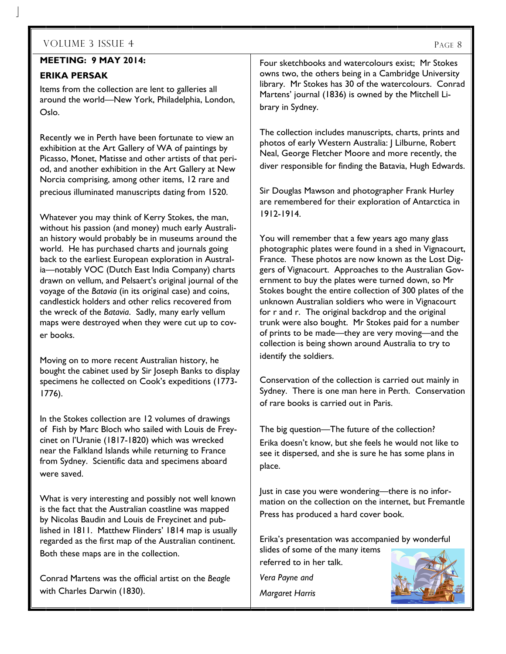#### **MEETING: 9 MAY 2014:**

#### **ERIKA PERSAK**

Items from the collection are lent to galleries all around the world—New York, Philadelphia, London, Oslo.

Recently we in Perth have been fortunate to view an exhibition at the Art Gallery of WA of paintings by Picasso, Monet, Matisse and other artists of that period, and another exhibition in the Art Gallery at New Norcia comprising, among other items, 12 rare and precious illuminated manuscripts dating from 1520.

Whatever you may think of Kerry Stokes, the man, without his passion (and money) much early Australian history would probably be in museums around the world. He has purchased charts and journals going back to the earliest European exploration in Australia—notably VOC (Dutch East India Company) charts drawn on vellum, and Pelsaert's original journal of the voyage of the *Batavia* (in its original case) and coins, candlestick holders and other relics recovered from the wreck of the *Batavia*. Sadly, many early vellum maps were destroyed when they were cut up to cover books.

Moving on to more recent Australian history, he bought the cabinet used by Sir Joseph Banks to display specimens he collected on Cook's expeditions (1773- 1776).

In the Stokes collection are 12 volumes of drawings of Fish by Marc Bloch who sailed with Louis de Freycinet on l'Uranie (1817-1820) which was wrecked near the Falkland Islands while returning to France from Sydney. Scientific data and specimens aboard were saved.

What is very interesting and possibly not well known is the fact that the Australian coastline was mapped by Nicolas Baudin and Louis de Freycinet and published in 1811. Matthew Flinders' 1814 map is usually regarded as the first map of the Australian continent. Both these maps are in the collection.

Conrad Martens was the official artist on the *Beagle*  with Charles Darwin (1830).

Four sketchbooks and watercolours exist; Mr Stokes owns two, the others being in a Cambridge University library. Mr Stokes has 30 of the watercolours. Conrad Martens' journal (1836) is owned by the Mitchell Library in Sydney.

The collection includes manuscripts, charts, prints and photos of early Western Australia: J Lilburne, Robert Neal, George Fletcher Moore and more recently, the diver responsible for finding the Batavia, Hugh Edwards.

Sir Douglas Mawson and photographer Frank Hurley are remembered for their exploration of Antarctica in 1912-1914.

You will remember that a few years ago many glass photographic plates were found in a shed in Vignacourt, France. These photos are now known as the Lost Diggers of Vignacourt. Approaches to the Australian Government to buy the plates were turned down, so Mr Stokes bought the entire collection of 300 plates of the unknown Australian soldiers who were in Vignacourt for r and r. The original backdrop and the original trunk were also bought. Mr Stokes paid for a number of prints to be made—they are very moving—and the collection is being shown around Australia to try to identify the soldiers.

Conservation of the collection is carried out mainly in Sydney. There is one man here in Perth. Conservation of rare books is carried out in Paris.

The big question—The future of the collection? Erika doesn't know, but she feels he would not like to see it dispersed, and she is sure he has some plans in place.

Just in case you were wondering—there is no information on the collection on the internet, but Fremantle Press has produced a hard cover book.

Erika's presentation was accompanied by wonderful slides of some of the many items referred to in her talk.

*Vera Payne and Margaret Harris* 

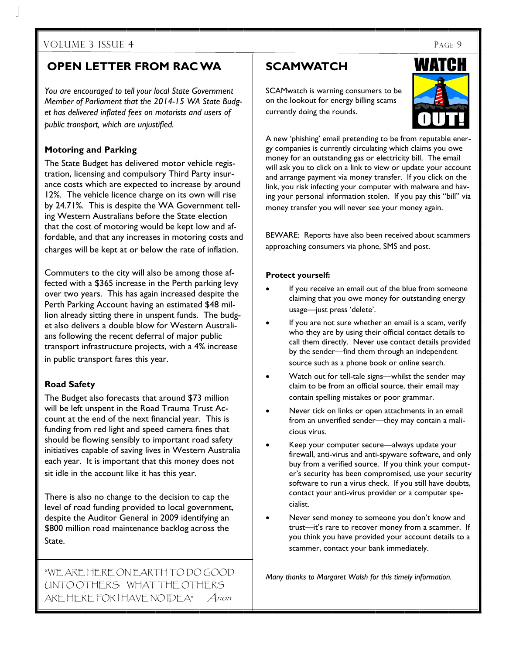#### **OPEN LETTER FROM RAC WA**

*You are encouraged to tell your local State Government Member of Parliament that the 2014-15 WA State Budget has delivered inflated fees on motorists and users of public transport, which are unjustified.* 

#### **Motoring and Parking**

The State Budget has delivered motor vehicle registration, licensing and compulsory Third Party insurance costs which are expected to increase by around 12%. The vehicle licence charge on its own will rise by 24.71%. This is despite the WA Government telling Western Australians before the State election that the cost of motoring would be kept low and affordable, and that any increases in motoring costs and charges will be kept at or below the rate of inflation.

Commuters to the city will also be among those affected with a \$365 increase in the Perth parking levy over two years. This has again increased despite the Perth Parking Account having an estimated \$48 million already sitting there in unspent funds. The budget also delivers a double blow for Western Australians following the recent deferral of major public transport infrastructure projects, with a 4% increase in public transport fares this year.

#### **Road Safety**

The Budget also forecasts that around \$73 million will be left unspent in the Road Trauma Trust Account at the end of the next financial year. This is funding from red light and speed camera fines that should be flowing sensibly to important road safety initiatives capable of saving lives in Western Australia each year. It is important that this money does not sit idle in the account like it has this year.

There is also no change to the decision to cap the level of road funding provided to local government, despite the Auditor General in 2009 identifying an \$800 million road maintenance backlog across the State.

"WE ARE HERE ON EARTH TO DO GOOD UNTO OTHERS: WHAT THE OTHERS ARE HERE FOR I HAVE NO IDEA" Anon

#### **SCAMWATCH**

SCAMwatch is warning consumers to be on the lookout for energy billing scams currently doing the rounds.



A new 'phishing' email pretending to be from reputable energy companies is currently circulating which claims you owe money for an outstanding gas or electricity bill. The email will ask you to click on a link to view or update your account and arrange payment via money transfer. If you click on the link, you risk infecting your computer with malware and having your personal information stolen. If you pay this "bill" via money transfer you will never see your money again.

BEWARE: Reports have also been received about scammers approaching consumers via phone, SMS and post.

#### **Protect yourself:**

- If you receive an email out of the blue from someone claiming that you owe money for outstanding energy usage—just press 'delete'.
- If you are not sure whether an email is a scam, verify who they are by using their official contact details to call them directly. Never use contact details provided by the sender—find them through an independent source such as a phone book or online search.
- Watch out for tell-tale signs—whilst the sender may claim to be from an official source, their email may contain spelling mistakes or poor grammar.
- Never tick on links or open attachments in an email from an unverified sender—they may contain a malicious virus.
- Keep your computer secure—always update your firewall, anti-virus and anti-spyware software, and only buy from a verified source. If you think your computer's security has been compromised, use your security software to run a virus check. If you still have doubts, contact your anti-virus provider or a computer specialist.
- Never send money to someone you don't know and trust—it's rare to recover money from a scammer. If you think you have provided your account details to a scammer, contact your bank immediately.

*Many thanks to Margaret Walsh for this timely information.*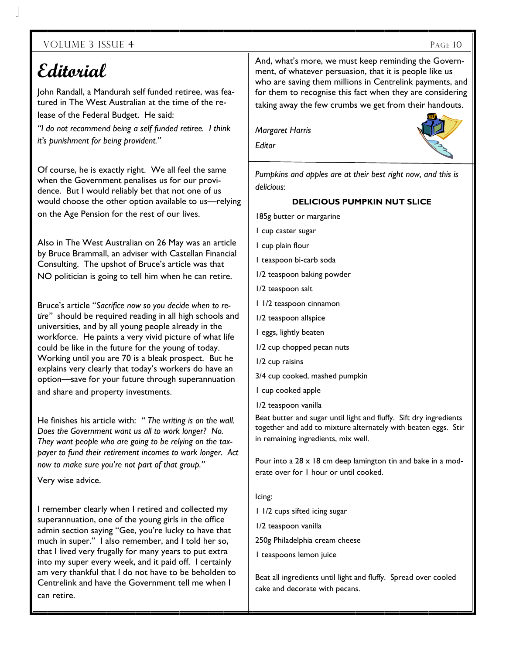# **Editorial**

John Randall, a Mandurah self funded retiree, was featured in The West Australian at the time of the release of the Federal Budget. He said:

*"I do not recommend being a self funded retiree. I think it's punishment for being provident."* 

Of course, he is exactly right. We all feel the same when the Government penalises us for our providence. But I would reliably bet that not one of us would choose the other option available to us—relying on the Age Pension for the rest of our lives.

Also in The West Australian on 26 May was an article by Bruce Brammall, an adviser with Castellan Financial Consulting. The upshot of Bruce's article was that NO politician is going to tell him when he can retire.

Bruce's article "*Sacrifice now so you decide when to retire"* should be required reading in all high schools and universities, and by all young people already in the workforce. He paints a very vivid picture of what life could be like in the future for the young of today. Working until you are 70 is a bleak prospect. But he explains very clearly that today's workers do have an option—save for your future through superannuation and share and property investments.

He finishes his article with: *" The writing is on the wall. Does the Government want us all to work longer? No. They want people who are going to be relying on the taxpayer to fund their retirement incomes to work longer. Act now to make sure you're not part of that group."* 

Very wise advice.

I remember clearly when I retired and collected my superannuation, one of the young girls in the office admin section saying "Gee, you're lucky to have that much in super." I also remember, and I told her so, that I lived very frugally for many years to put extra into my super every week, and it paid off. I certainly am very thankful that I do not have to be beholden to Centrelink and have the Government tell me when I can retire.

And, what's more, we must keep reminding the Government, of whatever persuasion, that it is people like us who are saving them millions in Centrelink payments, and for them to recognise this fact when they are considering taking away the few crumbs we get from their handouts.

*Margaret Harris* 

*Editor* 



*Pumpkins and apples are at their best right now, and this is delicious:* 

#### **DELICIOUS PUMPKIN NUT SLICE**

- 185g butter or margarine
- 1 cup caster sugar
- 1 cup plain flour
- 1 teaspoon bi-carb soda
- 1/2 teaspoon baking powder
- 1/2 teaspoon salt
- 1 1/2 teaspoon cinnamon
- 1/2 teaspoon allspice
- 1 eggs, lightly beaten
- 1/2 cup chopped pecan nuts
- 1/2 cup raisins
- 3/4 cup cooked, mashed pumpkin
- 1 cup cooked apple
- 1/2 teaspoon vanilla

Beat butter and sugar until light and fluffy. Sift dry ingredients together and add to mixture alternately with beaten eggs. Stir in remaining ingredients, mix well.

Pour into a 28 x 18 cm deep lamington tin and bake in a moderate over for 1 hour or until cooked.

Icing:

1 1/2 cups sifted icing sugar

1/2 teaspoon vanilla

250g Philadelphia cream cheese

1 teaspoons lemon juice

Beat all ingredients until light and fluffy. Spread over cooled cake and decorate with pecans.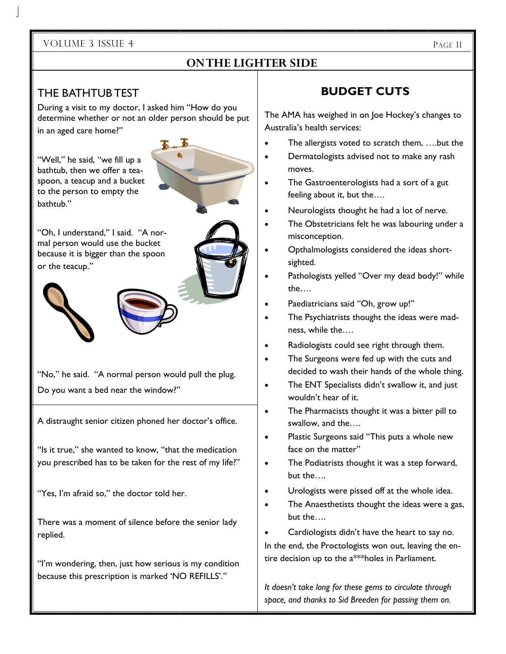#### **ON THE LIGHTER SIDE**

#### THE BATHTUB TEST

During a visit to my doctor, I asked him "How do you determine whether or not an older person should be put in an aged care home?"

"Well," he said, "we fill up a bathtub, then we offer a teaspoon, a teacup and a bucket to the person to empty the bathtub."



"Oh, I understand," I said. "A normal person would use the bucket because it is bigger than the spoon or the teacup."



"No," he said. "A normal person would pull the plug. Do you want a bed near the window?"

A distraught senior citizen phoned her doctor's office.

"Is it true," she wanted to know, "that the medication you prescribed has to be taken for the rest of my life?"

"Yes, I'm afraid so," the doctor told her.

There was a moment of silence before the senior lady replied.

"I'm wondering, then, just how serious is my condition because this prescription is marked 'NO REFILLS'."

#### **BUDGET CUTS**

The AMA has weighed in on Joe Hockey's changes to Australia's health services:

- The allergists voted to scratch them, ….but the
- Dermatologists advised not to make any rash moves.
- The Gastroenterologists had a sort of a gut feeling about it, but the….
- Neurologists thought he had a lot of nerve.
- The Obstetricians felt he was labouring under a misconception.
- Opthalmologists considered the ideas shortsighted.
- Pathologists yelled "Over my dead body!" while the….
- Paediatricians said "Oh, grow up!"
- The Psychiatrists thought the ideas were madness, while the….
- Radiologists could see right through them.
- The Surgeons were fed up with the cuts and decided to wash their hands of the whole thing.
- The ENT Specialists didn't swallow it, and just wouldn't hear of it.
- The Pharmacists thought it was a bitter pill to swallow, and the….
- Plastic Surgeons said "This puts a whole new face on the matter"
- The Podiatrists thought it was a step forward, but the….
- Urologists were pissed off at the whole idea.
- The Anaesthetists thought the ideas were a gas, but the….
- Cardiologists didn't have the heart to say no.

In the end, the Proctologists won out, leaving the entire decision up to the a\*\*\*holes in Parliament.

*It doesn't take long for these gems to circulate through space, and thanks to Sid Breeden for passing them on.*